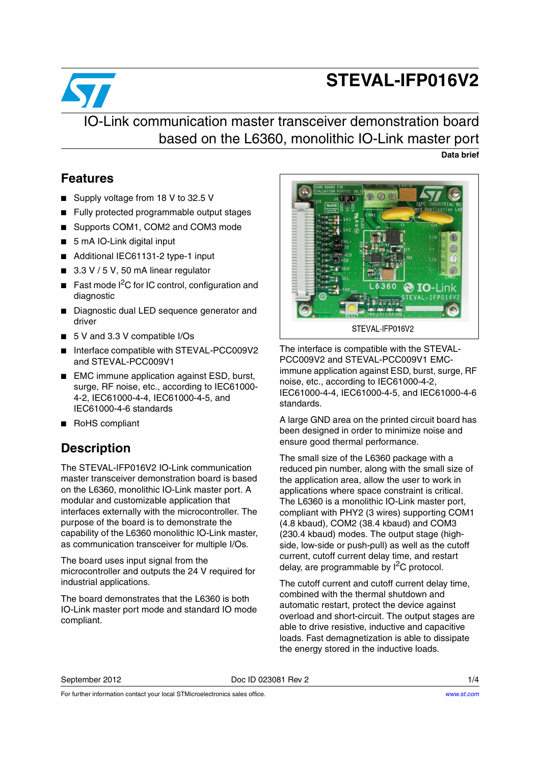# **STEVAL-IFP016V2**



IO-Link communication master transceiver demonstration board based on the L6360, monolithic IO-Link master port **Data brief**

### **Features**

- Supply voltage from 18 V to 32.5 V
- Fully protected programmable output stages
- Supports COM1, COM2 and COM3 mode
- 5 mA IO-Link digital input
- Additional IEC61131-2 type-1 input
- 3.3 V / 5 V, 50 mA linear regulator
- Fast mode I<sup>2</sup>C for IC control, configuration and diagnostic
- Diagnostic dual LED sequence generator and driver
- 5 V and 3.3 V compatible I/Os
- Interface compatible with STEVAL-PCC009V2 and STEVAL-PCC009V1
- EMC immune application against ESD, burst, surge, RF noise, etc., according to IEC61000- 4-2, IEC61000-4-4, IEC61000-4-5, and IEC61000-4-6 standards
- RoHS compliant

### **Description**

The STEVAL-IFP016V2 IO-Link communication master transceiver demonstration board is based on the L6360, monolithic IO-Link master port. A modular and customizable application that interfaces externally with the microcontroller. The purpose of the board is to demonstrate the capability of the L6360 monolithic IO-Link master, as communication transceiver for multiple I/Os.

The board uses input signal from the microcontroller and outputs the 24 V required for industrial applications.

The board demonstrates that the L6360 is both IO-Link master port mode and standard IO mode compliant.



The interface is compatible with the STEVAL-PCC009V2 and STEVAL-PCC009V1 EMCimmune application against ESD, burst, surge, RF noise, etc., according to IEC61000-4-2, IEC61000-4-4, IEC61000-4-5, and IEC61000-4-6 standards.

A large GND area on the printed circuit board has been designed in order to minimize noise and ensure good thermal performance.

The small size of the L6360 package with a reduced pin number, along with the small size of the application area, allow the user to work in applications where space constraint is critical. The L6360 is a monolithic IO-Link master port, compliant with PHY2 (3 wires) supporting COM1 (4.8 kbaud), COM2 (38.4 kbaud) and COM3 (230.4 kbaud) modes. The output stage (highside, low-side or push-pull) as well as the cutoff current, cutoff current delay time, and restart delay, are programmable by  $I^2C$  protocol.

The cutoff current and cutoff current delay time, combined with the thermal shutdown and automatic restart, protect the device against overload and short-circuit. The output stages are able to drive resistive, inductive and capacitive loads. Fast demagnetization is able to dissipate the energy stored in the inductive loads.

September 2012 Doc ID 023081 Rev 2 1/4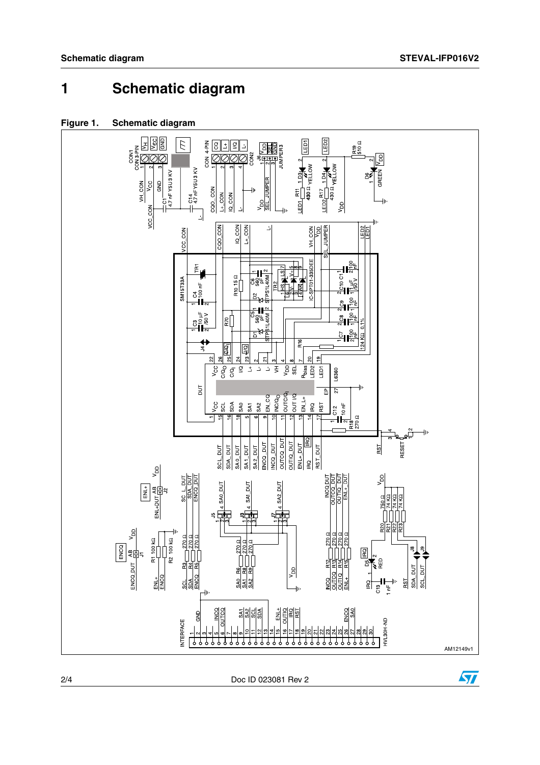## **1 Schematic diagram**





2/4 Doc ID 023081 Rev 2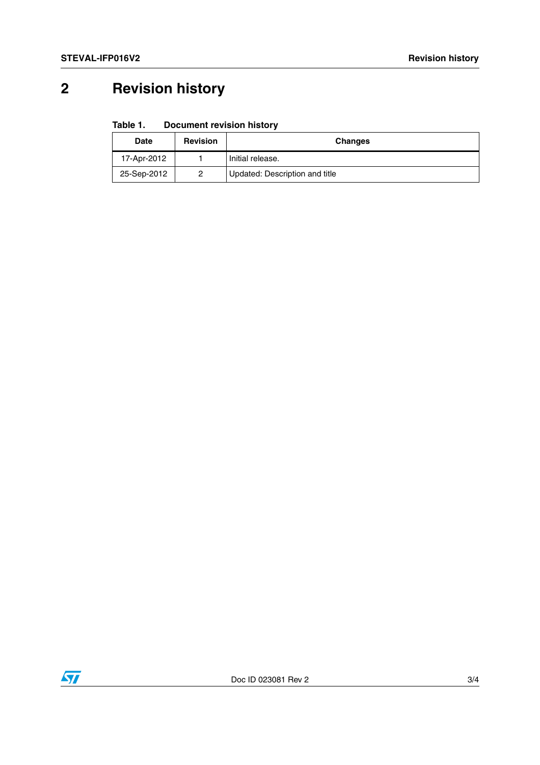# **2 Revision history**

#### Table 1. **Document revision history**

| <b>Date</b> | <b>Revision</b> | <b>Changes</b>                 |
|-------------|-----------------|--------------------------------|
| 17-Apr-2012 |                 | Initial release.               |
| 25-Sep-2012 |                 | Updated: Description and title |